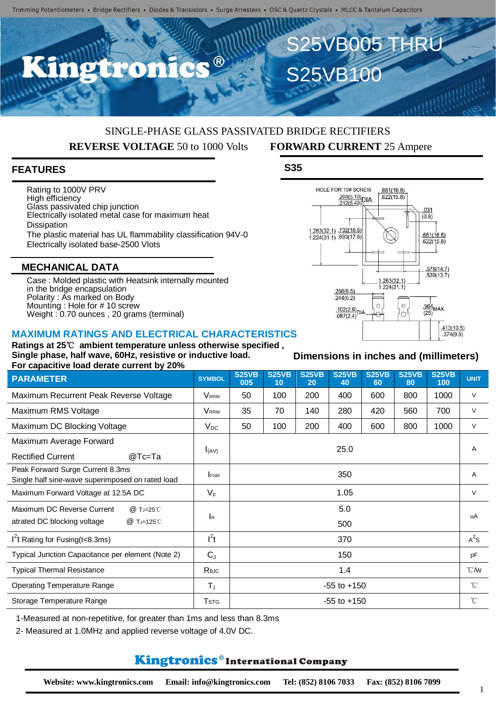## SINGLE-PHASE GLASS PASSIVATED BRIDGE RECTIFIERS **REVERSE VOLTAGE** 50 to 1000 Volts **FORWARD CURRENT** 25 Ampere

## **FEATURES**

Rating to 1000V PRV High efficiency Glass passivated chip junction Electrically isolated metal case for maximum heat **Dissipation** The plastic material has UL flammability classification 94V-0 Electrically isolated base-2500 Vlots

#### **MECHANICAL DATA**

Case : Molded plastic with Heatsink internally mounted in the bridge encapsulation Polarity : As marked on Body Mounting : Hole for # 10 screw Weight : 0.70 ounces , 20 grams (terminal)

#### **MAXIMUM RATINGS AND ELECTRICAL CHARACTERISTICS**

**Ratings at 25**℃ **ambient temperature unless otherwise specified , Single phase, half wave, 60Hz, resistive or inductive load. For capacitive load derate current by 20%**

| <b>PARAMETER</b>                                                                     | <b>SYMBOL</b>           | <b>S25VB</b><br>005 | <b>S25VB</b><br>10 | <b>S25VB</b><br>20 | <b>S25VB</b><br>40 | <b>S25VB</b><br>60 | <b>S25VB</b><br>80 | <b>S25VB</b><br>100 | <b>UNIT</b>    |
|--------------------------------------------------------------------------------------|-------------------------|---------------------|--------------------|--------------------|--------------------|--------------------|--------------------|---------------------|----------------|
| Maximum Recurrent Peak Reverse Voltage                                               | <b>V</b> <sub>RRM</sub> | 50                  | 100                | 200                | 400                | 600                | 800                | 1000                | $\vee$         |
| Maximum RMS Voltage                                                                  | <b>V</b> RRM            | 35                  | 70                 | 140                | 280                | 420                | 560                | 700                 | $\vee$         |
| Maximum DC Blocking Voltage                                                          | $V_{DC}$                | 50                  | 100                | 200                | 400                | 600                | 800                | 1000                | $\vee$         |
| Maximum Average Forward<br><b>Rectified Current</b><br>@Tc=Ta                        | $I_{(AV)}$              | 25.0                |                    |                    |                    |                    |                    |                     | $\overline{A}$ |
| Peak Forward Surge Current 8.3ms<br>Single half sine-wave superimposed on rated load | <b>FSM</b>              | 350                 |                    |                    |                    |                    |                    |                     | A              |
| Maximum Forward Voltage at 12.5A DC                                                  | $V_F$                   | 1.05                |                    |                    |                    |                    |                    |                     | $\vee$         |
| Maximum DC Reverse Current<br>@ TJ=25℃<br>atrated DC blocking voltage<br>@ TJ=125℃   | $\mathsf{R}$            | 5.0                 |                    |                    |                    |                    |                    |                     | uA             |
|                                                                                      |                         | 500                 |                    |                    |                    |                    |                    |                     |                |
| $I2t$ Rating for Fusing(t<8.3ms)                                                     | $l^2t$                  | 370                 |                    |                    |                    |                    |                    |                     | $A^2S$         |
| Typical Junction Capacitance per element (Note 2)                                    | $C_J$                   | 150                 |                    |                    |                    |                    |                    |                     | pF             |
| <b>Typical Thermal Resistance</b>                                                    | Reuc                    | 1.4                 |                    |                    |                    |                    |                    |                     | °C/W           |
| <b>Operating Temperature Range</b>                                                   | $T_{J}$                 | $-55$ to $+150$     |                    |                    |                    |                    |                    |                     | $^{\circ}$ C   |
| Storage Temperature Range                                                            | <b>T</b> <sub>STG</sub> | $-55$ to $+150$     |                    |                    |                    |                    |                    |                     | $^{\circ}$ C   |

1-Measured at non-repetitive, for greater than 1ms and less than 8.3ms

2- Measured at 1.0MHz and applied reverse voltage of 4.0V DC.

### **Kingtronics**®International Company

 $\frac{.984}{(25)}$ MAX.  $\frac{.102(2.6)}{.087(2.6)}$ DIA 'o  $.087(2.4)$  $\frac{413(10.5)}{0.374(9.5)}$ 

 $\circ$ 

 $1.263(32.1)$  $1.224(31.1)$ 

 $\circ$ 

 $.661(16.8)$ 

 $622(15.8)$ 

 $.031$  $(0.8)$ 

 $\frac{661(16.8)}{622(15.8)}$ 

 $.578(14.7)$  $.539(13.7)$ 

**Dimensions in inches and (millimeters)**

1

 $\frac{.200(5.10)}{.212(5.40)}\text{DIA}$ 

HOLE FOR 10# SCREW

1.263(32.1) .732(18.6)<br>1.224(31.1) .693(17.6)

 $.256(6.5)$  $.244(6.2)$ 

S25VB100

S25VB005 THRU

**S35**